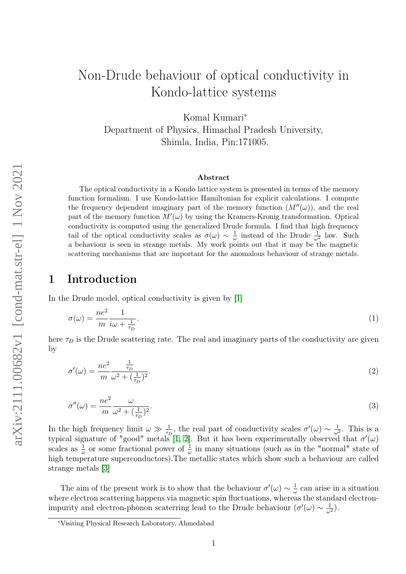# Non-Drude behaviour of optical conductivity in Kondo-lattice systems

Komal Kumari<sup>∗</sup> Department of Physics, Himachal Pradesh University, Shimla, India, Pin:171005.

#### Abstract

The optical conductivity in a Kondo lattice system is presented in terms of the memory function formalism. I use Kondo-lattice Hamiltonian for explicit calculations. I compute the frequency dependent imaginary part of the memory function  $(M''(\omega))$ , and the real part of the memory function  $M'(\omega)$  by using the Kramers-Kronig transformation. Optical conductivity is computed using the generalized Drude formula. I find that high frequency tail of the optical conductivity scales as  $\sigma(\omega) \sim \frac{1}{\omega}$  $\frac{1}{\omega}$  instead of the Drude  $\frac{1}{\omega^2}$  law. Such a behaviour is seen in strange metals. My work points out that it may be the magnetic scattering mechanisms that are important for the anomalous behaviour of strange metals.

#### 1 Introduction

In the Drude model, optical conductivity is given by [\[1\]](#page-7-0)

$$
\sigma(\omega) = \frac{ne^2}{m} \frac{1}{i\omega + \frac{1}{\tau_D}}.\tag{1}
$$

here  $\tau_D$  is the Drude scattering rate. The real and imaginary parts of the conductivity are given by

$$
\sigma'(\omega) = \frac{ne^2}{m} \frac{\frac{1}{\tau_D}}{\omega^2 + (\frac{1}{\tau_D})^2}.\tag{2}
$$

$$
\sigma''(\omega) = \frac{ne^2}{m} \frac{\omega}{\omega^2 + (\frac{1}{\tau_D})^2}.
$$
\n(3)

In the high frequency limit  $\omega \gg \frac{1}{\tau_D}$ , the real part of conductivity scales  $\sigma'(\omega) \sim \frac{1}{\omega}$  $\frac{1}{\omega^2}$ . This is a typical signature of "good" metals [\[1,](#page-7-0) [2\]](#page-7-1). But it has been experimentally observed that  $\sigma'(\omega)$ scales as  $\frac{1}{\omega}$  or some fractional power of  $\frac{1}{\omega}$  in many situations (such as in the "normal" state of high temperature superconductors).The metallic states which show such a behaviour are called strange metals [\[3\]](#page-7-2)

The aim of the present work is to show that the behaviour  $\sigma'(\omega) \sim \frac{1}{\omega}$  $\frac{1}{\omega}$  can arise in a situation where electron scattering happens via magnetic spin fluctuations, whereas the standard electronimpurity and electron-phonon scaterring lead to the Drude behaviour  $(\sigma'(\omega) \sim \frac{1}{\omega^2})$ .

<sup>∗</sup>Visiting Physical Research Laboratory, Ahmedabad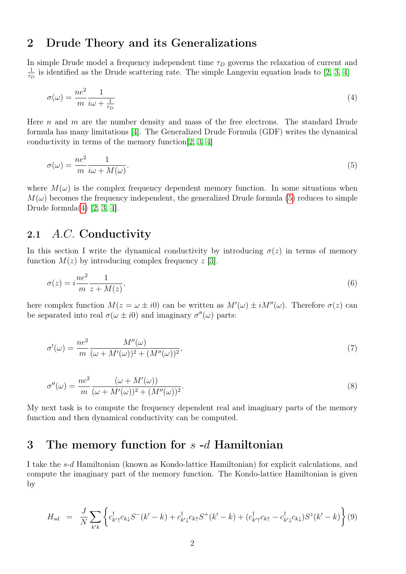### 2 Drude Theory and its Generalizations

In simple Drude model a frequency independent time  $\tau_D$  governs the relaxation of current and 1  $\frac{1}{\tau_D}$  is identified as the Drude scattering rate. The simple Langevin equation leads to [\[2,](#page-7-1) [3,](#page-7-2) [4\]](#page-7-3)

<span id="page-1-1"></span>
$$
\sigma(\omega) = \frac{ne^2}{m} \frac{1}{i\omega + \frac{1}{\tau_D}}\tag{4}
$$

Here  $n$  and  $m$  are the number density and mass of the free electrons. The standard Drude formula has many limitations [\[4\]](#page-7-3). The Generalized Drude Formula (GDF) writes the dynamical conductivity in terms of the memory function[\[2,](#page-7-1) [3,](#page-7-2) [4\]](#page-7-3)

<span id="page-1-0"></span>
$$
\sigma(\omega) = \frac{ne^2}{m} \frac{1}{i\omega + M(\omega)}.\tag{5}
$$

where  $M(\omega)$  is the complex frequency dependent memory function. In some situations when  $M(\omega)$  becomes the frequency independent, the generalized Drude formula [\(5\)](#page-1-0) reduces to simple Drude formula $(4)$  [\[2,](#page-7-1) [3,](#page-7-2) [4\]](#page-7-3).

#### 2.1 A.C. Conductivity

In this section I write the dynamical conductivity by introducing  $\sigma(z)$  in terms of memory function  $M(z)$  by introducing complex frequency  $z$  [\[3\]](#page-7-2).

$$
\sigma(z) = i \frac{ne^2}{m} \frac{1}{z + M(z)},\tag{6}
$$

here complex function  $M(z = \omega \pm i0)$  can be written as  $M'(\omega) \pm iM''(\omega)$ . Therefore  $\sigma(z)$  can be separated into real  $\sigma(\omega \pm i0)$  and imaginary  $\sigma''(\omega)$  parts:

<span id="page-1-2"></span>
$$
\sigma'(\omega) = \frac{ne^2}{m} \frac{M''(\omega)}{(\omega + M'(\omega))^2 + (M''(\omega))^2},\tag{7}
$$

<span id="page-1-3"></span>
$$
\sigma''(\omega) = \frac{ne^2}{m} \frac{(\omega + M'(\omega))}{(\omega + M'(\omega))^2 + (M''(\omega))^2}.
$$
\n(8)

My next task is to compute the frequency dependent real and imaginary parts of the memory function and then dynamical conductivity can be computed.

#### 3 The memory function for s -d Hamiltonian

I take the s-d Hamiltonian (known as Kondo-lattice Hamiltonian) for explicit calculations, and compute the imaginary part of the memory function. The Kondo-lattice Hamiltonian is given by

$$
H_{sd} = \frac{J}{N} \sum_{k'k} \left\{ c_{k'\uparrow}^{\dagger} c_{k\downarrow} S^{-}(k'-k) + c_{k'\downarrow}^{\dagger} c_{k\uparrow} S^{+}(k'-k) + (c_{k'\uparrow}^{\dagger} c_{k\uparrow} - c_{k'\downarrow}^{\dagger} c_{k\downarrow}) S^{z}(k'-k) \right\} (9)
$$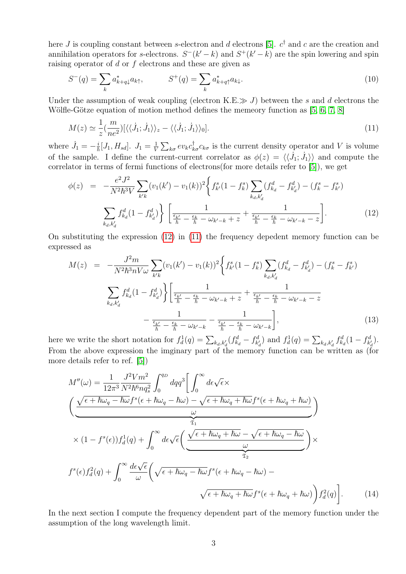here *J* is coupling constant between *s*-electron and *d* electrons [\[5\]](#page-7-4).  $c^{\dagger}$  and *c* are the creation and annihilation operators for s-electrons.  $S^-(k'-k)$  and  $S^+(k'-k)$  are the spin lowering and spin raising operator of  $d$  or  $f$  electrons and these are given as

$$
S^{-}(q) = \sum_{k} a_{k+q\downarrow}^{*} a_{k\uparrow}, \qquad S^{+}(q) = \sum_{k} a_{k+q\uparrow}^{*} a_{k\downarrow}.
$$
 (10)

Under the assumption of weak coupling (electron K.E.  $\gg J$ ) between the s and d electrons the Wölfle-Götze equation of motion method defines the memeory function as [\[5,](#page-7-4) [6,](#page-7-5) [7,](#page-7-6) [8\]](#page-7-7)

<span id="page-2-1"></span>
$$
M(z) \simeq \frac{1}{z} \left( \frac{m}{ne^2} \right) \left[ \langle \langle \dot{J}_1; \dot{J}_1 \rangle \rangle_z - \langle \langle \dot{J}_1; \dot{J}_1 \rangle \rangle_0 \right]. \tag{11}
$$

where  $\dot{J}_1 = -\frac{i}{\hbar} [J_1, H_{sd}]$ .  $J_1 = \frac{1}{V}$  $\frac{1}{V} \sum_{k\sigma} ev_k c_{k\sigma}^{\dagger} c_{k\sigma}$  is the current density operator and V is volume of the sample. I define the current-current correlator as  $\phi(z) = \langle \langle \dot{J}_1; \dot{J}_1 \rangle \rangle$  and compute the correlator in terms of fermi functions of electrons(for more details refer to [\[5\]](#page-7-4)), we get

<span id="page-2-0"></span>
$$
\phi(z) = -\frac{e^2 J^2}{N^2 \hbar^3 V} \sum_{k'k} (v_1(k') - v_1(k))^2 \left\{ f_{k'}^s (1 - f_k^s) \sum_{k_d, k'_d} (f_{k_d}^d - f_{k'_d}^d) - (f_k^s - f_{k'}^s) \right\}
$$

$$
\sum_{k_d, k'_d} f_{k_d}^d (1 - f_{k'_d}^d) \left\{ \frac{1}{\frac{\epsilon_{k'}}{\hbar} - \frac{\epsilon_k}{\hbar} - \omega_{k'-k} + z} + \frac{1}{\frac{\epsilon_{k'}}{\hbar} - \frac{\epsilon_k}{\hbar} - \omega_{k'-k} - z} \right\}.
$$
(12)

On substituting the expression [\(12\)](#page-2-0) in [\(11\)](#page-2-1) the frequency depedent memory function can be expressed as

$$
M(z) = -\frac{J^2 m}{N^2 \hbar^3 n V \omega} \sum_{k' k} (v_1(k') - v_1(k))^2 \left\{ f_{k'}^s (1 - f_k^s) \sum_{k_d, k'_d} (f_{k_d}^d - f_{k'_d}^d) - (f_k^s - f_{k'}^s) \right\}
$$

$$
\sum_{k_d, k'_d} f_{k_d}^d (1 - f_{k'_d}^d) \left\{ \frac{1}{\frac{\epsilon_{k'}}{\hbar} - \frac{\epsilon_k}{\hbar} - \omega_{k'-k} + z} + \frac{1}{\frac{\epsilon_{k'}}{\hbar} - \frac{\epsilon_k}{\hbar} - \omega_{k'-k} - z} - \frac{1}{\frac{\epsilon_{k'}}{\hbar} - \frac{\epsilon_k}{\hbar} - \omega_{k'-k}} - \frac{1}{\frac{\epsilon_{k'}}{\hbar} - \frac{\epsilon_k}{\hbar} - \omega_{k'-k}} \right\},
$$
(13)

here we write the short notation for  $f_d^1(q) = \sum_{k_d, k'_d} (f_{k_d}^d - f_{k'_d}^d)$  and  $f_d^1(q) = \sum_{k_d, k'_d} f_{k_d}^d (1 - f_{k'_d}^d)$ . From the above expression the imginary part of the memory function can be written as (for more details refer to ref. [\[5\]](#page-7-4))

$$
M''(\omega) = \frac{1}{12\pi^3} \frac{J^2 V m^2}{N^2 \hbar^6 n q_s^2} \int_0^{q_D} dq q^3 \Bigg[ \int_0^{\infty} d\epsilon \sqrt{\epsilon} \times
$$
  

$$
\Bigg( \underbrace{\frac{\sqrt{\epsilon + \hbar\omega_q - \hbar\omega_f}^s(\epsilon + \hbar\omega_q - \hbar\omega) - \sqrt{\epsilon + \hbar\omega_q + \hbar\omega_f}^s(\epsilon + \hbar\omega_q + \hbar\omega)}_{\mathfrak{T}_1}}_{\mathfrak{T}_1} \Bigg)
$$
  

$$
\times (1 - f^s(\epsilon)) f_d^1(q) + \int_0^{\infty} d\epsilon \sqrt{\epsilon} \Bigg( \underbrace{\frac{\sqrt{\epsilon + \hbar\omega_q + \hbar\omega} - \sqrt{\epsilon + \hbar\omega_q - \hbar\omega}}_{\mathfrak{T}_2}}_{\mathfrak{T}_2} \Bigg) \times
$$
  

$$
f^s(\epsilon) f_d^2(q) + \int_0^{\infty} \frac{d\epsilon \sqrt{\epsilon}}{\omega} \Bigg( \sqrt{\epsilon + \hbar\omega_q - \hbar\omega_f}^s(\epsilon + \hbar\omega_q - \hbar\omega) - \sqrt{\epsilon + \hbar\omega_q + \hbar\omega_f}^s(\epsilon + \hbar\omega_q + \hbar\omega_f) \Bigg) f_d^2(q) \Bigg]. \tag{14}
$$

<span id="page-2-2"></span>In the next section I compute the frequency dependent part of the memory function under the assumption of the long wavelength limit.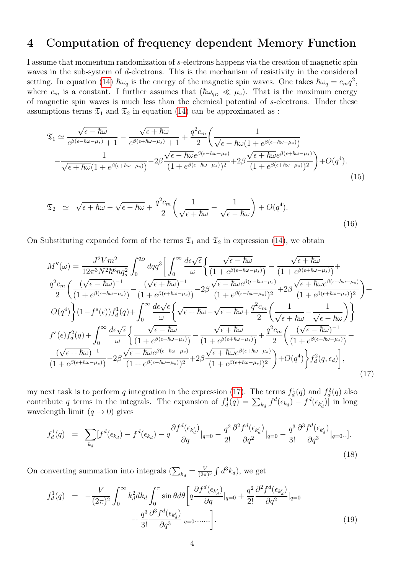### 4 Computation of frequency dependent Memory Function

I assume that momentum randomization of s-electrons happens via the creation of magnetic spin waves in the sub-system of d-electrons. This is the mechanism of resistivity in the considered setting. In equation [\(14\)](#page-2-2)  $\hbar\omega_q$  is the energy of the magnetic spin waves. One takes  $\hbar\omega_q = c_m q^2$ , where  $c_m$  is a constant. I further assumes that  $(\hbar\omega_{q_D} \ll \mu_s)$ . That is the maximum energy of magnetic spin waves is much less than the chemical potential of s-electrons. Under these assumptions terms  $\mathfrak{T}_1$  and  $\mathfrak{T}_2$  in equation [\(14\)](#page-2-2) can be approximated as :

$$
\mathfrak{T}_{1} \simeq \frac{\sqrt{\epsilon - \hbar\omega}}{e^{\beta(\epsilon - \hbar\omega - \mu_{s})} + 1} - \frac{\sqrt{\epsilon + \hbar\omega}}{e^{\beta(\epsilon + \hbar\omega - \mu_{s})} + 1} + \frac{q^{2}c_{m}}{2} \left( \frac{1}{\sqrt{\epsilon - \hbar\omega(1 + e^{\beta(\epsilon - \hbar\omega - \mu_{s})})}} - \frac{1}{\sqrt{\epsilon + \hbar\omega(1 + e^{\beta(\epsilon + \hbar\omega - \mu_{s})})}} - 2\beta \frac{\sqrt{\epsilon - \hbar\omega}e^{\beta(\epsilon - \hbar\omega - \mu_{s})}}{(1 + e^{\beta(\epsilon - \hbar\omega - \mu_{s})})^{2}} + 2\beta \frac{\sqrt{\epsilon + \hbar\omega}e^{\beta(\epsilon + \hbar\omega - \mu_{s})}}{(1 + e^{\beta(\epsilon + \hbar\omega - \mu_{s})})^{2}} \right) + O(q^{4}).
$$
\n(15)

$$
\mathfrak{T}_2 \simeq \sqrt{\epsilon + \hbar \omega} - \sqrt{\epsilon - \hbar \omega} + \frac{q^2 c_m}{2} \left( \frac{1}{\sqrt{\epsilon + \hbar \omega}} - \frac{1}{\sqrt{\epsilon - \hbar \omega}} \right) + O(q^4).
$$
\n(16)

On Substituting expanded form of the terms  $\mathfrak{T}_1$  and  $\mathfrak{T}_2$  in expression [\(14\)](#page-2-2), we obtain

$$
M''(\omega) = \frac{J^2 V m^2}{12\pi^3 N^2 \hbar^6 n q_s^2} \int_0^{q_D} dq q^3 \left[ \int_0^{\infty} \frac{d\epsilon \sqrt{\epsilon}}{\omega} \left\{ \frac{\sqrt{\epsilon - \hbar \omega}}{(1 + e^{\beta(\epsilon - \hbar \omega - \mu_s)})} - \frac{\sqrt{\epsilon + \hbar \omega}}{(1 + e^{\beta(\epsilon + \hbar \omega - \mu_s)})} + \frac{q^2 c_m}{2} \left( \frac{(\sqrt{\epsilon - \hbar \omega})^{-1}}{(1 + e^{\beta(\epsilon - \hbar \omega - \mu_s)})} - \frac{(\sqrt{\epsilon + \hbar \omega})^{-1}}{(1 + e^{\beta(\epsilon + \hbar \omega - \mu_s)})^2} - 2\beta \frac{\sqrt{\epsilon - \hbar \omega} e^{\beta(\epsilon - \hbar \omega - \mu_s)}}{(1 + e^{\beta(\epsilon - \hbar \omega - \mu_s)})^2} + 2\beta \frac{\sqrt{\epsilon + \hbar \omega} e^{\beta(\epsilon + \hbar \omega - \mu_s)}}{(1 + e^{\beta(\epsilon + \hbar \omega - \mu_s)})^2} \right) + O(q^4) \left\{ (1 - f^s(\epsilon)) f_d^1(q) + \int_0^{\infty} \frac{d\epsilon \sqrt{\epsilon}}{\omega} \left\{ \frac{\sqrt{\epsilon + \hbar \omega}}{\omega} \sqrt{\epsilon + \hbar \omega} - \sqrt{\epsilon - \hbar \omega} + \frac{q^2 c_m}{2} \left( \frac{1}{\sqrt{\epsilon + \hbar \omega}} - \frac{1}{\sqrt{\epsilon - \hbar \omega}} \right) \right\} \right\}
$$
  

$$
f^s(\epsilon) f_d^2(q) + \int_0^{\infty} \frac{d\epsilon \sqrt{\epsilon}}{\omega} \left\{ \frac{\sqrt{\epsilon - \hbar \omega}}{(1 + e^{\beta(\epsilon - \hbar \omega - \mu_s)})} - \frac{\sqrt{\epsilon + \hbar \omega}}{(1 + e^{\beta(\epsilon + \hbar \omega - \mu_s)})} + \frac{q^2 c_m}{2} \left( \frac{(\sqrt{\epsilon - \hbar \omega})^{-1}}{(1 + e^{\beta(\epsilon - \hbar \omega - \mu_s)})} - \frac{(\sqrt{\epsilon + \hbar \omega})^{-1}}{(1 + e^{\beta(\epsilon + \hbar \omega - \mu_s)})} - 2\beta \frac{\sqrt{\epsilon - \hbar \omega} e^{\beta(\epsilon - \hbar \omega - \mu_s)}}{(1
$$

my next task is to perform q integration in the expression [\(17\)](#page-3-0). The terms  $f_d^1(q)$  and  $f_d^2(q)$  also contribute q terms in the integrals. The expansion of  $f_d^1(q) = \sum_{k_d} [f^d(\epsilon_{k_d}) - f^d(\epsilon_{k_d})]$  in long wavelength limit  $(q \to 0)$  gives

<span id="page-3-0"></span>
$$
f_d^1(q) = \sum_{k_d} [f^d(\epsilon_{k_d}) - f^d(\epsilon_{k_d}) - q \frac{\partial f^d(\epsilon_{k_d})}{\partial q}|_{q=0} - \frac{q^2}{2!} \frac{\partial^2 f^d(\epsilon_{k_d})}{\partial q^2}|_{q=0} - \frac{q^3}{3!} \frac{\partial^3 f^d(\epsilon_{k_d})}{\partial q^3}|_{q=0}.
$$
\n(18)

On converting summation into integrals  $(\sum_{k_d} = \frac{V}{(2\pi\epsilon)}$  $\frac{V}{(2\pi)^3} \int d^3k_d$ , we get

$$
f_d^1(q) = -\frac{V}{(2\pi)^2} \int_0^\infty k_d^2 dk_d \int_0^\pi \sin\theta d\theta \left[ q \frac{\partial f^d(\epsilon_{k_d})}{\partial q} \Big|_{q=0} + \frac{q^2}{2!} \frac{\partial^2 f^d(\epsilon_{k_d})}{\partial q^2} \Big|_{q=0} + \frac{q^3}{3!} \frac{\partial^3 f^d(\epsilon_{k_d})}{\partial q^3} \Big|_{q=0} \dots \dots \right].
$$
\n(19)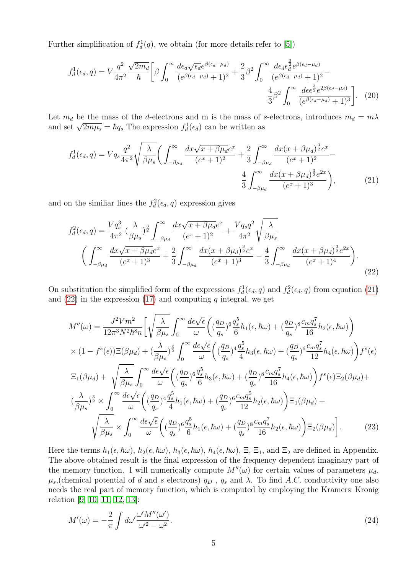Further simplification of  $f_d^1(q)$ , we obtain (for more details refer to [\[5\]](#page-7-4))

$$
f_d^1(\epsilon_d, q) = V \frac{q^2}{4\pi^2} \frac{\sqrt{2m_d}}{\hbar} \left[ \beta \int_0^\infty \frac{d\epsilon_d \sqrt{\epsilon_d} e^{\beta(\epsilon_d - \mu_d)}}{(e^{\beta(\epsilon_d - \mu_d)} + 1)^2} + \frac{2}{3} \beta^2 \int_0^\infty \frac{d\epsilon_d \epsilon_d^{\frac{3}{2}} e^{\beta(\epsilon_d - \mu_d)}}{(e^{\beta(\epsilon_d - \mu_d)} + 1)^2} - \frac{4}{3} \beta^2 \int_0^\infty \frac{d\epsilon_d^{\frac{3}{2}} e^{2\beta(\epsilon_d - \mu_d)}}{(e^{\beta(\epsilon_d - \mu_d)} + 1)^3} \right]. \tag{20}
$$

Let  $m_d$  be the mass of the d-electrons and m is the mass of s-electrons, introduces  $m_d = m\lambda$ Let  $m_d$  be the mass of the *a*-electrons and m is the mass of a<br>and set  $\sqrt{2m\mu_s} = \hbar q_s$ . The expression  $f_d^1(\epsilon_d)$  can be written as

<span id="page-4-0"></span>
$$
f_d^1(\epsilon_d, q) = V q_s \frac{q^2}{4\pi^2} \sqrt{\frac{\lambda}{\beta \mu_s}} \left( \int_{-\beta \mu_d}^{\infty} \frac{dx \sqrt{x + \beta \mu_d} e^x}{(e^x + 1)^2} + \frac{2}{3} \int_{-\beta \mu_d}^{\infty} \frac{dx (x + \beta \mu_d)^{\frac{3}{2}} e^x}{(e^x + 1)^2} - \frac{4}{3} \int_{-\beta \mu_d}^{\infty} \frac{dx (x + \beta \mu_d)^{\frac{3}{2}} e^{2x}}{(e^x + 1)^3} \right), \tag{21}
$$

and on the similiar lines the  $f_d^2(\epsilon_d, q)$  expression gives

$$
f_d^2(\epsilon_d, q) = \frac{Vq_s^3}{4\pi^2} \left(\frac{\lambda}{\beta\mu_s}\right)^{\frac{3}{2}} \int_{-\beta\mu_d}^{\infty} \frac{dx\sqrt{x+\beta\mu_d}e^x}{(e^x+1)^2} + \frac{Vq_sq^2}{4\pi^2} \sqrt{\frac{\lambda}{\beta\mu_s}}
$$

$$
\left(\int_{-\beta\mu_d}^{\infty} \frac{dx\sqrt{x+\beta\mu_d}e^x}{(e^x+1)^3} + \frac{2}{3} \int_{-\beta\mu_d}^{\infty} \frac{dx(x+\beta\mu_d)^{\frac{3}{2}}e^x}{(e^x+1)^3} - \frac{4}{3} \int_{-\beta\mu_d}^{\infty} \frac{dx(x+\beta\mu_d)^{\frac{3}{2}}e^{2x}}{(e^x+1)^4}\right).
$$
(22)

On substitution the simplified form of the expressions  $f_d^1(\epsilon_d, q)$  and  $f_d^2(\epsilon_d, q)$  from equation [\(21\)](#page-4-0) and  $(22)$  in the expression  $(17)$  and computing q integral, we get

<span id="page-4-1"></span>
$$
M''(\omega) = \frac{J^2 V m^2}{12\pi^3 N^2 \hbar^8 n} \left[ \sqrt{\frac{\lambda}{\beta \mu_s}} \int_0^\infty \frac{d\epsilon \sqrt{\epsilon}}{\omega} \left( \left(\frac{q_D}{q_s}\right)^6 \frac{q_s^5}{6} h_1(\epsilon, \hbar \omega) + \left(\frac{q_D}{q_s}\right)^8 \frac{c_m q_s^7}{16} h_2(\epsilon, \hbar \omega) \right) \times (1 - f^s(\epsilon)) \Xi(\beta \mu_d) + \left(\frac{\lambda}{\beta \mu_s}\right)^{\frac{3}{2}} \int_0^\infty \frac{d\epsilon \sqrt{\epsilon}}{\omega} \left( \left(\frac{q_D}{q_s}\right)^4 \frac{q_s^5}{4} h_3(\epsilon, \hbar \omega) + \left(\frac{q_D}{q_s}\right)^6 \frac{c_m q_s^7}{12} h_4(\epsilon, \hbar \omega) \right) f^s(\epsilon) \Xi_1(\beta \mu_d) + \sqrt{\frac{\lambda}{\beta \mu_s}} \int_0^\infty \frac{d\epsilon \sqrt{\epsilon}}{\omega} \left( \left(\frac{q_D}{q_s}\right)^6 \frac{q_s^5}{6} h_3(\epsilon, \hbar \omega) + \left(\frac{q_D}{q_s}\right)^8 \frac{c_m q_s^7}{16} h_4(\epsilon, \hbar \omega) \right) f^s(\epsilon) \Xi_2(\beta \mu_d) + \left(\frac{\lambda}{\beta \mu_s}\right)^{\frac{3}{2}} \times \int_0^\infty \frac{d\epsilon \sqrt{\epsilon}}{\omega} \left( \left(\frac{q_D}{q_s}\right)^4 \frac{q_s^5}{4} h_1(\epsilon, \hbar \omega) + \left(\frac{q_D}{q_s}\right)^6 \frac{c_m q_s^5}{12} h_2(\epsilon, \hbar \omega) \right) \Xi_1(\beta \mu_d) + \sqrt{\frac{\lambda}{\beta \mu_s}} \times \int_0^\infty \frac{d\epsilon \sqrt{\epsilon}}{\omega} \left( \left(\frac{q_D}{q_s}\right)^6 \frac{q_s^5}{6} h_1(\epsilon, \hbar \omega) + \left(\frac{q_D}{q_s}\right)^8 \frac{c_m q_s^7}{16} h_2(\epsilon, \hbar \omega) \right) \Xi_2(\beta \mu_d) \right]. \tag{23}
$$

Here the terms  $h_1(\epsilon, \hbar\omega)$ ,  $h_2(\epsilon, \hbar\omega)$ ,  $h_3(\epsilon, \hbar\omega)$ ,  $h_4(\epsilon, \hbar\omega)$ ,  $\Xi$ ,  $\Xi_1$ , and  $\Xi_2$  are defined in Appendix. The above obtained result is the final expression of the frequency dependent imaginary part of the memory function. I will numerically compute  $M''(\omega)$  for certain values of parameters  $\mu_d$ ,  $\mu_s$ , (chemical potential of d and s electrons)  $q_D$ ,  $q_s$  and  $\lambda$ . To find A.C. conductivity one also needs the real part of memory function, which is computed by employing the Kramers–Kronig relation [\[9,](#page-7-8) [10,](#page-7-9) [11,](#page-7-10) [12,](#page-8-0) [13\]](#page-8-1):

<span id="page-4-2"></span>
$$
M'(\omega) = -\frac{2}{\pi} \int d\omega' \frac{\omega' M''(\omega')}{\omega'^2 - \omega^2}.
$$
\n(24)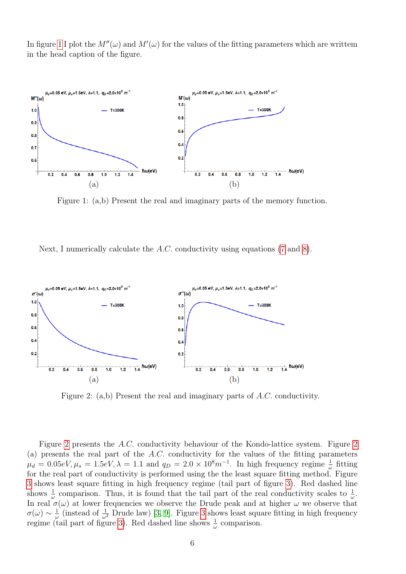In figure [1](#page-5-0) I plot the  $M''(\omega)$  and  $M'(\omega)$  for the values of the fitting parameters which are writtem in the head caption of the figure.



<span id="page-5-0"></span>Figure 1: (a,b) Present the real and imaginary parts of the memory function.

Next, I numerically calculate the A.C. conductivity using equations [\(7](#page-1-2) and [8\)](#page-1-3).



<span id="page-5-1"></span>Figure 2: (a,b) Present the real and imaginary parts of A.C. conductivity.

Figure [2](#page-5-1) presents the A.C. conductivity behaviour of the Kondo-lattice system. Figure [2](#page-5-1) (a) presents the real part of the A.C. conductivity for the values of the fitting parameters  $\mu_d = 0.05eV, \mu_s = 1.5eV, \lambda = 1.1$  and  $q_D = 2.0 \times 10^8 m^{-1}$ . In high frequency regime  $\frac{1}{\omega}$  fitting for the real part of conductivity is performed using the the least square fitting method. Figure [3](#page-6-0) shows least square fitting in high frequency regime (tail part of figure [3\)](#page-6-0). Red dashed line shows  $\frac{1}{\omega}$  comparison. Thus, it is found that the tail part of the real conductivity scales to  $\frac{1}{\omega}$ . In real  $\sigma(\omega)$  at lower frequencies we observe the Drude peak and at higher  $\omega$  we observe that  $\sigma(\omega) \sim \frac{1}{\omega}$  $\frac{1}{\omega}$  (instead of  $\frac{1}{\omega^2}$  Drude law) [\[3,](#page-7-2) [9\]](#page-7-8). Figure [3](#page-6-0) shows least square fitting in high frequency regime (tail part of figure [3\)](#page-6-0). Red dashed line shows  $\frac{1}{\omega}$  comparison.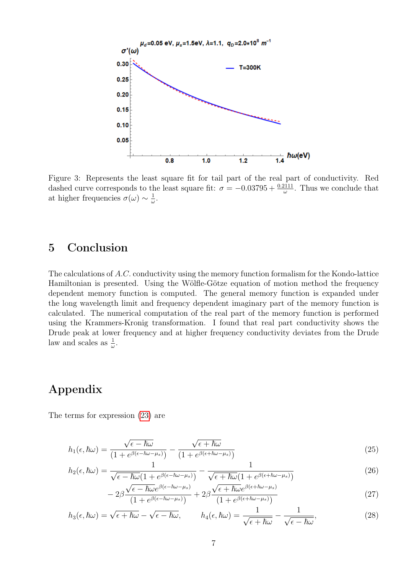

<span id="page-6-0"></span>Figure 3: Represents the least square fit for tail part of the real part of conductivity. Red dashed curve corresponds to the least square fit:  $\sigma = -0.03795 + \frac{0.2111}{\omega}$ . Thus we conclude that at higher frequencies  $\sigma(\omega) \sim \frac{1}{\omega}$  $\frac{1}{\omega}$ .

### 5 Conclusion

The calculations of A.C. conductivity using the memory function formalism for the Kondo-lattice Hamiltonian is presented. Using the Wölfle-Götze equation of motion method the frequency dependent memory function is computed. The general memory function is expanded under the long wavelength limit and frequency dependent imaginary part of the memory function is calculated. The numerical computation of the real part of the memory function is performed using the Krammers-Kronig transformation. I found that real part conductivity shows the Drude peak at lower frequency and at higher frequency conductivity deviates from the Drude law and scales as  $\frac{1}{\omega}$ .

# Appendix

The terms for expression [\(23\)](#page-4-2) are

$$
h_1(\epsilon, \hbar\omega) = \frac{\sqrt{\epsilon - \hbar\omega}}{(1 + e^{\beta(\epsilon - \hbar\omega - \mu_s)})} - \frac{\sqrt{\epsilon + \hbar\omega}}{(1 + e^{\beta(\epsilon + \hbar\omega - \mu_s)})}
$$
(25)

$$
h_2(\epsilon, \hbar\omega) = \frac{1}{\sqrt{\epsilon - \hbar\omega}(1 + e^{\beta(\epsilon - \hbar\omega - \mu_s)})} - \frac{1}{\sqrt{\epsilon + \hbar\omega}(1 + e^{\beta(\epsilon + \hbar\omega - \mu_s)})}
$$
(26)

$$
-2\beta \frac{\sqrt{\epsilon - \hbar \omega e^{\beta(\epsilon - \hbar \omega - \mu_s)}}}{(1 + e^{\beta(\epsilon - \hbar \omega - \mu_s)})} + 2\beta \frac{\sqrt{\epsilon + \hbar \omega e^{\beta(\epsilon + \hbar \omega - \mu_s)}}}{(1 + e^{\beta(\epsilon + \hbar \omega - \mu_s)})}
$$
(27)

$$
h_3(\epsilon, \hbar\omega) = \sqrt{\epsilon + \hbar\omega} - \sqrt{\epsilon - \hbar\omega}, \qquad h_4(\epsilon, \hbar\omega) = \frac{1}{\sqrt{\epsilon + \hbar\omega}} - \frac{1}{\sqrt{\epsilon - \hbar\omega}},
$$
(28)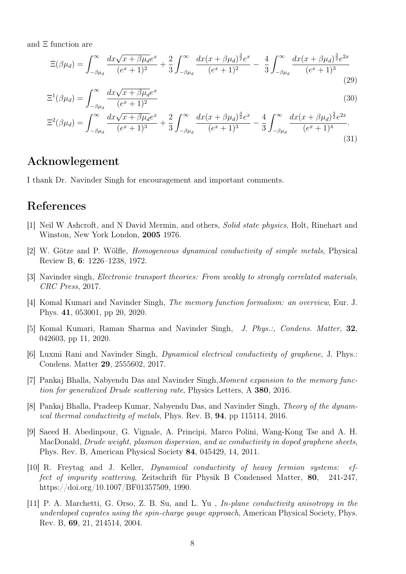and Ξ function are

$$
\Xi(\beta\mu_d) = \int_{-\beta\mu_d}^{\infty} \frac{dx\sqrt{x+\beta\mu_d}e^x}{(e^x+1)^2} + \frac{2}{3} \int_{-\beta\mu_d}^{\infty} \frac{dx(x+\beta\mu_d)^{\frac{3}{2}}e^x}{(e^x+1)^2} - \frac{4}{3} \int_{-\beta\mu_d}^{\infty} \frac{dx(x+\beta\mu_d)^{\frac{3}{2}}e^{2x}}{(e^x+1)^3}
$$
(29)

$$
\Xi^1(\beta \mu_d) = \int_{-\beta \mu_d}^{\infty} \frac{dx \sqrt{x + \beta \mu_d} e^x}{(e^x + 1)^2}
$$
(30)

$$
\Xi^{2}(\beta\mu_{d}) = \int_{-\beta\mu_{d}}^{\infty} \frac{dx\sqrt{x+\beta\mu_{d}}e^{x}}{(e^{x}+1)^{3}} + \frac{2}{3} \int_{-\beta\mu_{d}}^{\infty} \frac{dx(x+\beta\mu_{d})^{\frac{3}{2}}e^{x}}{(e^{x}+1)^{3}} - \frac{4}{3} \int_{-\beta\mu_{d}}^{\infty} \frac{dx(x+\beta\mu_{d})^{\frac{3}{2}}e^{2x}}{(e^{x}+1)^{4}}.
$$
\n(31)

# Acknowlegement

I thank Dr. Navinder Singh for encouragement and important comments.

# References

- <span id="page-7-0"></span>[1] Neil W Ashcroft, and N David Mermin, and others, Solid state physics, Holt, Rinehart and Winston, New York London, 2005 1976.
- <span id="page-7-1"></span>[2] W. Götze and P. Wölfle, Homogeneous dynamical conductivity of simple metals, Physical Review B, 6: 1226–1238, 1972.
- <span id="page-7-2"></span>[3] Navinder singh, Electronic transport theories: From weakly to strongly correlated materials, CRC Press, 2017.
- <span id="page-7-3"></span>[4] Komal Kumari and Navinder Singh, The memory function formalism: an overview, Eur. J. Phys. 41, 053001, pp 20, 2020.
- <span id="page-7-4"></span>[5] Komal Kumari, Raman Sharma and Navinder Singh, J. Phys.:, Condens. Matter, 32, 042603, pp 11, 2020.
- <span id="page-7-5"></span>[6] Luxmi Rani and Navinder Singh, Dynamical electrical conductivity of graphene, J. Phys.: Condens. Matter 29, 2555602, 2017.
- <span id="page-7-6"></span>[7] Pankaj Bhalla, Nabyendu Das and Navinder Singh, Moment expansion to the memory function for generalized Drude scattering rate, Physics Letters, A 380, 2016.
- <span id="page-7-7"></span>[8] Pankaj Bhalla, Pradeep Kumar, Nabyendu Das, and Navinder Singh, Theory of the dynamical thermal conductivity of metals, Phys. Rev. B, 94, pp 115114, 2016.
- <span id="page-7-8"></span>[9] Saeed H. Abedinpour, G. Vignale, A. Principi, Marco Polini, Wang-Kong Tse and A. H. MacDonald, Drude weight, plasmon dispersion, and ac conductivity in doped graphene sheets, Phys. Rev. B, American Physical Society 84, 045429, 14, 2011.
- <span id="page-7-9"></span>[10] R. Freytag and J. Keller, Dynamical conductivity of heavy fermion systems: effect of impurity scattering, Zeitschrift für Physik B Condensed Matter, 80, 241-247, https://doi.org/10.1007/BF01357509, 1990.
- <span id="page-7-10"></span>[11] P. A. Marchetti, G. Orso, Z. B. Su, and L. Yu , In-plane conductivity anisotropy in the underdoped cuprates using the spin-charge gauge approach, American Physical Society, Phys. Rev. B, 69, 21, 214514, 2004.